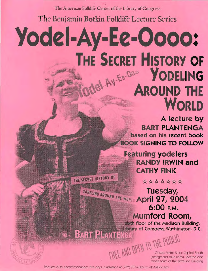The American Folklife Center of the Library of Congress

**The Benjamin Botkin Folklife Lecture Series** 

## **Yode -Ay-Ee-Oooo: THE SECRET HISTORY OF NOVELING AROUND THE**

**A lecture by BART PLANTENGA based on his recent book BOOK SIGNING TO FOLLOW** 

**WORLD** 

**Featuring yodelers RANDY IRWIN and CATHY FINK** 

\*\*\*\*\*\*\* **Tuesday, April 27, 2004 6:00 P.M. Mumford Room,** 

> **floor of the Madison Building,**  Library of Congress, Washington, D.C.

 $\mathcal{L}$  ...  $\mathcal{L}$  ...  $\mathcal{L}$ 

 $\mathbb{E}[\mathbb{E}[\mathbb{E}[\mathbb{E}[\mathbb{E}[\mathbb{E}[\mathbb{E}[\mathbb{E}[\mathbb{E}[\mathbb{E}[\mathbb{E}[\mathbb{E}[\mathbb{E}[\mathbb{E}[\mathbb{E}[\mathbb{E}[\mathbb{E}[\mathbb{E}[\mathbb{E}[\mathbb{E}[\mathbb{E}[\mathbb{E}[\mathbb{E}[\mathbb{E}[\mathbb{E}[\mathbb{E}[\mathbb{E}[\mathbb{E}[\mathbb{E}[\mathbb{E}[\mathbb{E}[\mathbb{E}[\mathbb{E}[\mathbb{E}[\mathbb{E}[\mathbb{E}[\mathbb{$ 

rDEE MU UTEM Closest Metro Stop: Capitol South  $\{\}\$   $\{\}\$   $\{\right\}$  (orange and blue lines), located one block south of the Jefferson Building

Request ADA accommodations five days In advance at (202) 707·6362 or ADA@loc.gov

THE SECRET HISTORY OF